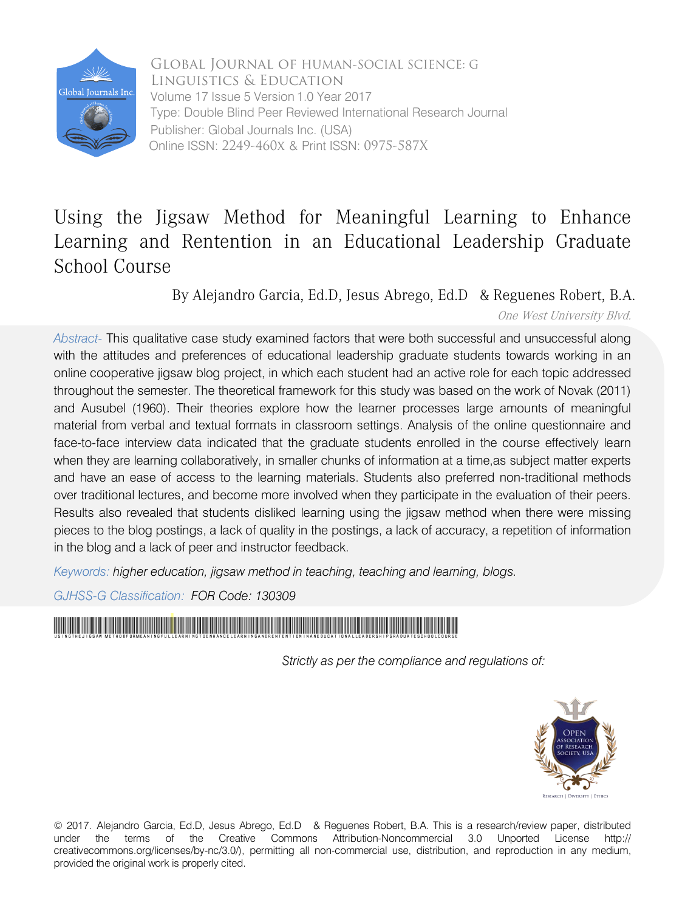

 Online ISSN: 2249-460x & Print ISSN: 0975-587X Global Journal of HUMAN-SOCIAL SCIENCE: G Linguistics & Education Volume 17 Issue 5 Version 1.0 Year 2017 Type: Double Blind Peer Reviewed International Research Journal Publisher: Global Journals Inc. (USA)

# Using the Jigsaw Method for Meaningful Learning to Enhance Learning and Rentention in an Educational Leadership Graduate School Course

By Alejandro Garcia, Ed.D., Jesus Abrego, Ed.D & Reguenes Robert, B.A.

One West University Blvd.

*Abstract-* This qualitative case study examined factors that were both successful and unsuccessful along with the attitudes and preferences of educational leadership graduate students towards working in an online cooperative jigsaw blog project, in which each student had an active role for each topic addressed throughout the semester. The theoretical framework for this study was based on the work of Novak (2011) and Ausubel (1960). Their theories explore how the learner processes large amounts of meaningful material from verbal and textual formats in classroom settings. Analysis of the online questionnaire and face-to-face interview data indicated that the graduate students enrolled in the course effectively learn when they are learning collaboratively, in smaller chunks of information at a time,as subject matter experts and have an ease of access to the learning materials. Students also preferred non-traditional methods over traditional lectures, and become more involved when they participate in the evaluation of their peers. Results also revealed that students disliked learning using the jigsaw method when there were missing pieces to the blog postings, a lack of quality in the postings, a lack of accuracy, a repetition of information in the blog and a lack of peer and instructor feedback.

*Keywords: higher education, jigsaw method in teaching, teaching and learning, blogs.* 

*GJHSS-G Classification: FOR Code: 130309*

# UsingtheJigsaw MethodforMeaningfulLearningtoEnhanceLearningandRententioninanEducationalLeadershipGraduateSchoolCourse

 *Strictly as per the compliance and regulations of:*



© 2017. Alejandro Garcia, Ed.D, Jesus Abrego, Ed.D & Reguenes Robert, B.A. This is a research/review paper, distributed under the terms of the Creative Commons Attribution-Noncommercial 3.0 Unported License http:// creativecommons.org/licenses/by-nc/3.0/), permitting all non-commercial use, distribution, and reproduction in any medium, provided the original work is properly cited.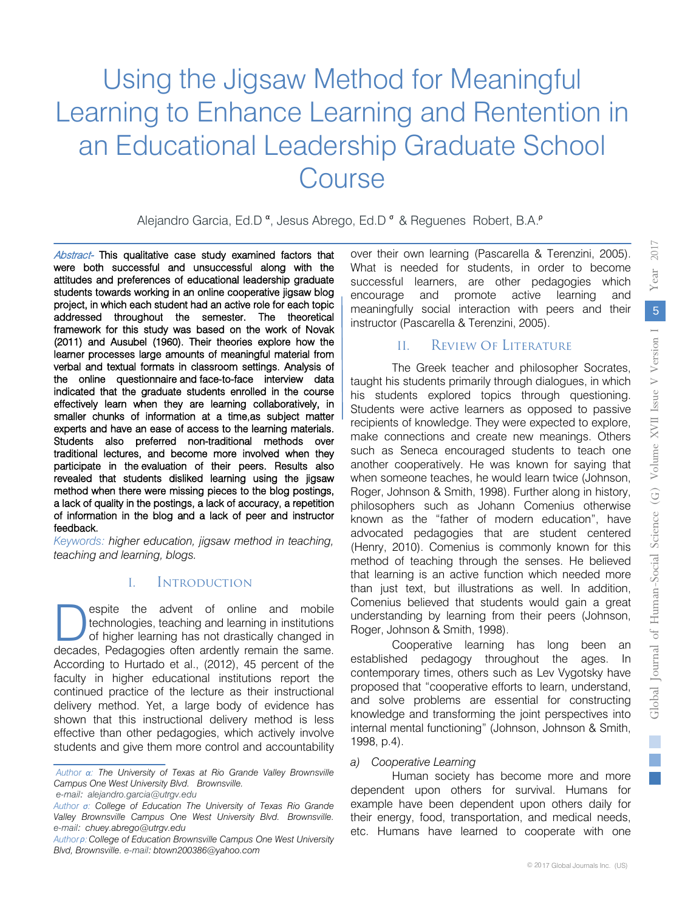# Using the Jigsaw Method for Meaningful Learning to Enhance Learning and Rentention in an Educational Leadership Graduate School Course

Alejandro Garcia, Ed.D<sup>a</sup>, Jesus Abrego, Ed.D<sup>a</sup> & Reguenes Robert, B.A.<sup>P</sup>

Abstract- This qualitative case study examined factors that (2011) and Ausubel (1960). Their theories explore how the were both successful and unsuccessful along with the attitud[es and preferences of edu](mailto:alejandro.garcia@utrgv.edu)cational leadership graduate students towards working in an online cooperative jigsaw blog project, in which each student had an active role for each topic addressed throughout the semester. The theoretical framework for this study was based on the work of Novak learner processes large amounts of meaningful material from verbal and textual formats in classroom settings. Analysis of the online questionnaire and face-to-face interview data participate in the evaluation of their peers. Results also indicated that the graduate students enrolled in the course effectively learn when they are learning collaboratively, in smaller chunks of information at a time,as subject matter a lack of quality in the postings, a lack of accuracy, a repetition experts and have an ease of access to the learning materials. Students also preferred non-traditional methods over traditional lectures, and become more involved when they revealed that students disliked learning using the jigsaw method when there were missing pieces to the blog postings, of information in the blog and a lack of peer and instructor feedback.

 *teaching and learning, blogs. Keywords: higher education, jigsaw method in teaching,* 

# I. Introduction

.<br>. technologies, teaching and learning in institutions espite the advent of online and mobile technologies, teaching and learning in institutions of higher learning has not drastically changed in decades, Pedagogies often ardently remain the same. espite the advent of online and mobile of higher learning has not drastically changed in According to Hurtado et al., (2012), 45 percent of the faculty in higher educational institutions report the continued practice of the lecture as their instructional delivery method. Yet, a large body of evidence has shown that this instructional delivery method is less effective than other pedagogies, which actively involve students and give them more control and accountability

*e-mail: alejandro.garcia@utrgv.edu*

over their own learning (Pascarella & Terenzini, 2005). What is needed for students, in order to become successful learners, are other pedagogies which encourage and promote active learning and meaningfully social interaction with peers and their instructor (Pascarella & Terenzini, 2005).

# II. Review of Literature

The Greek teacher and philosopher Socrates, taught his students primarily through dialogues, in which his students explored topics through questioning. Students were active learners as opposed to passive recipients of knowledge. They were expected to explore, make connections and create new meanings. Others such as Seneca encouraged students to teach one another cooperatively. He was known for saying that when someone teaches, he would learn twice (Johnson, Roger, Johnson & Smith, 1998). Further along in history, philosophers such as Johann Comenius otherwise known as the "father of modern education", have advocated pedagogies that are student centered (Henry, 2010). Comenius is commonly known for this method of teaching through the senses. He believed that learning is an active function which needed more than just text, but illustrations as well. In addition, Comenius believed that students would gain a great understanding by learning from their peers (Johnson, Roger, Johnson & Smith, 1998).

Cooperative learning has long been an established pedagogy throughout the ages. In contemporary times, others such as Lev Vygotsky have proposed that "cooperative efforts to learn, understand, and solve problems are essential for constructing knowledge and transforming the joint perspectives into internal mental functioning" (Johnson, Johnson & Smith, 1998, p.4).

#### *a) Cooperative Learning*

Human society has become more and more dependent upon others for survival. Humans for example have been dependent upon others daily for their energy, food, transportation, and medical needs, etc. Humans have learned to cooperate with one

*Author α: The University of Texas at Rio Grande Valley Brownsville Campus One West University Blvd. Brownsville.* 

*Author σ: College of Education The University of Texas Rio Grande Valley Brownsville Campus One West University Blvd. Brownsville. e-mail: chuey.abrego@utrgv.edu*

*Authorρ:College of Education Brownsville Campus One West University Blvd, Brownsville. e-mail: btown200386@yahoo.com*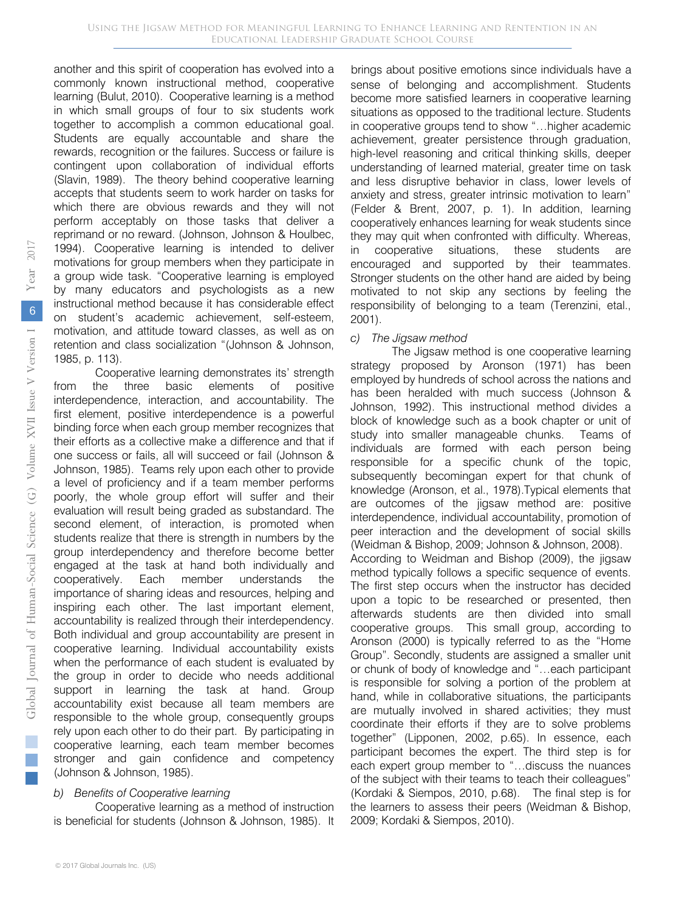another and this spirit of cooperation has evolved into a commonly known instructional method, cooperative learning (Bulut, 2010). Cooperative learning is a method in which small groups of four to six students work together to accomplish a common educational goal. Students are equally accountable and share the rewards, recognition or the failures. Success or failure is contingent upon collaboration of individual efforts (Slavin, 1989). The theory behind cooperative learning accepts that students seem to work harder on tasks for which there are obvious rewards and they will not perform acceptably on those tasks that deliver a reprimand or no reward. (Johnson, Johnson & Houlbec, 1994). Cooperative learning is intended to deliver motivations for group members when they participate in a group wide task. "Cooperative learning is employed by many educators and psychologists as a new instructional method because it has considerable effect on student's academic achievement, self-esteem, motivation, and attitude toward classes, as well as on retention and class socialization "(Johnson & Johnson, 1985, p. 113).

Cooperative learning demonstrates its' strength from the three basic elements of positive interdependence, interaction, and accountability. The first element, positive interdependence is a powerful binding force when each group member recognizes that their efforts as a collective make a difference and that if one success or fails, all will succeed or fail (Johnson & Johnson, 1985). Teams rely upon each other to provide a level of proficiency and if a team member performs poorly, the whole group effort will suffer and their evaluation will result being graded as substandard. The second element, of interaction, is promoted when students realize that there is strength in numbers by the group interdependency and therefore become better engaged at the task at hand both individually and cooperatively. Each member understands the importance of sharing ideas and resources, helping and inspiring each other. The last important element, accountability is realized through their interdependency. Both individual and group accountability are present in cooperative learning. Individual accountability exists when the performance of each student is evaluated by the group in order to decide who needs additional support in learning the task at hand. Group accountability exist because all team members are responsible to the whole group, consequently groups rely upon each other to do their part. By participating in cooperative learning, each team member becomes stronger and gain confidence and competency (Johnson & Johnson, 1985).

#### *b) Benefits of Cooperative learning*

Cooperative learning as a method of instruction is beneficial for students (Johnson & Johnson, 1985). It

brings about positive emotions since individuals have a sense of belonging and accomplishment. Students become more satisfied learners in cooperative learning situations as opposed to the traditional lecture. Students in cooperative groups tend to show "…higher academic achievement, greater persistence through graduation, high-level reasoning and critical thinking skills, deeper understanding of learned material, greater time on task and less disruptive behavior in class, lower levels of anxiety and stress, greater intrinsic motivation to learn" (Felder & Brent, 2007, p. 1). In addition, learning cooperatively enhances learning for weak students since they may quit when confronted with difficulty. Whereas, in cooperative situations, these students are encouraged and supported by their teammates. Stronger students on the other hand are aided by being motivated to not skip any sections by feeling the responsibility of belonging to a team (Terenzini, etal., 2001).

# *c) The Jigsaw method*

The Jigsaw method is one cooperative learning strategy proposed by Aronson (1971) has been employed by hundreds of school across the nations and has been heralded with much success (Johnson & Johnson, 1992). This instructional method divides a block of knowledge such as a book chapter or unit of study into smaller manageable chunks. Teams of individuals are formed with each person being responsible for a specific chunk of the topic, subsequently becomingan expert for that chunk of knowledge (Aronson, et al., 1978).Typical elements that are outcomes of the jigsaw method are: positive interdependence, individual accountability, promotion of peer interaction and the development of social skills (Weidman & Bishop, 2009; Johnson & Johnson, 2008). According to Weidman and Bishop (2009), the jigsaw method typically follows a specific sequence of events. The first step occurs when the instructor has decided upon a topic to be researched or presented, then afterwards students are then divided into small cooperative groups. This small group, according to Aronson (2000) is typically referred to as the "Home Group". Secondly, students are assigned a smaller unit or chunk of body of knowledge and "…each participant is responsible for solving a portion of the problem at hand, while in collaborative situations, the participants are mutually involved in shared activities; they must coordinate their efforts if they are to solve problems together" (Lipponen, 2002, p.65). In essence, each participant becomes the expert. The third step is for each expert group member to "…discuss the nuances of the subject with their teams to teach their colleagues" (Kordaki & Siempos, 2010, p.68). The final step is for the learners to assess their peers (Weidman & Bishop, 2009; Kordaki & Siempos, 2010).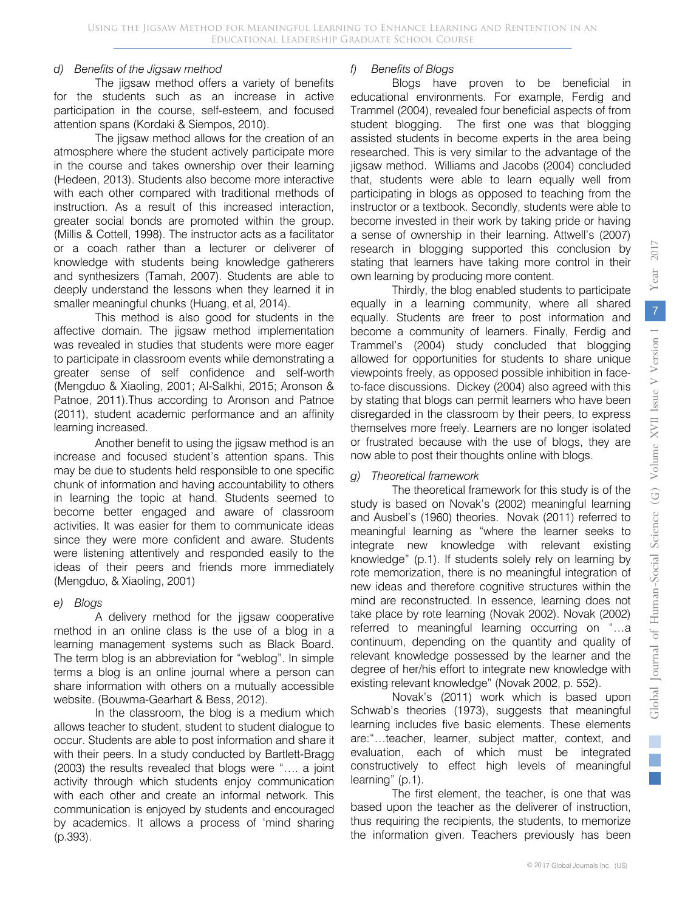#### *d) Benefits of the Jigsaw method*

The jigsaw method offers a variety of benefits for the students such as an increase in active participation in the course, self-esteem, and focused attention spans (Kordaki & Siempos, 2010).

The jigsaw method allows for the creation of an atmosphere where the student actively participate more in the course and takes ownership over their learning (Hedeen, 2013). Students also become more interactive with each other compared with traditional methods of instruction. As a result of this increased interaction, greater social bonds are promoted within the group. (Millis & Cottell, 1998). The instructor acts as a facilitator or a coach rather than a lecturer or deliverer of knowledge with students being knowledge gatherers and synthesizers (Tamah, 2007). Students are able to deeply understand the lessons when they learned it in smaller meaningful chunks (Huang, et al, 2014).

This method is also good for students in the affective domain. The jigsaw method implementation was revealed in studies that students were more eager to participate in classroom events while demonstrating a greater sense of self confidence and self-worth (Mengduo & Xiaoling, 2001; Al-Salkhi, 2015; Aronson & Patnoe, 2011).Thus according to Aronson and Patnoe (2011), student academic performance and an affinity learning increased.

Another benefit to using the jigsaw method is an increase and focused student's attention spans. This may be due to students held responsible to one specific chunk of information and having accountability to others in learning the topic at hand. Students seemed to become better engaged and aware of classroom activities. It was easier for them to communicate ideas since they were more confident and aware. Students were listening attentively and responded easily to the ideas of their peers and friends more immediately (Mengduo, & Xiaoling, 2001)

#### *e) Blogs*

A delivery method for the jigsaw cooperative method in an online class is the use of a blog in a learning management systems such as Black Board. The term blog is an abbreviation for "weblog". In simple terms a blog is an online journal where a person can share information with others on a mutually accessible website. (Bouwma-Gearhart & Bess, 2012).

In the classroom, the blog is a medium which allows teacher to student, student to student dialogue to occur. Students are able to post information and share it with their peers. In a study conducted by Bartlett-Bragg (2003) the results revealed that blogs were "…. a joint activity through which students enjoy communication with each other and create an informal network. This communication is enjoyed by students and encouraged by academics. It allows a process of 'mind sharing (p.393).

# *f) Benefits of Blogs*

Blogs have proven to be beneficial in educational environments. For example, Ferdig and Trammel (2004), revealed four beneficial aspects of from student blogging. The first one was that blogging assisted students in become experts in the area being researched. This is very similar to the advantage of the jigsaw method. Williams and Jacobs (2004) concluded that, students were able to learn equally well from participating in blogs as opposed to teaching from the instructor or a textbook. Secondly, students were able to become invested in their work by taking pride or having a sense of ownership in their learning. Attwell's (2007) research in blogging supported this conclusion by stating that learners have taking more control in their own learning by producing more content.

Thirdly, the blog enabled students to participate equally in a learning community, where all shared equally. Students are freer to post information and become a community of learners. Finally, Ferdig and Trammel's (2004) study concluded that blogging allowed for opportunities for students to share unique viewpoints freely, as opposed possible inhibition in faceto-face discussions. Dickey (2004) also agreed with this by stating that blogs can permit learners who have been disregarded in the classroom by their peers, to express themselves more freely. Learners are no longer isolated or frustrated because with the use of blogs, they are now able to post their thoughts online with blogs.

# *g) Theoretical framework*

The theoretical framework for this study is of the study is based on Novak's (2002) meaningful learning and Ausbel's (1960) theories. Novak (2011) referred to meaningful learning as "where the learner seeks to integrate new knowledge with relevant existing knowledge" (p.1). If students solely rely on learning by rote memorization, there is no meaningful integration of new ideas and therefore cognitive structures within the mind are reconstructed. In essence, learning does not take place by rote learning (Novak 2002). Novak (2002) referred to meaningful learning occurring on "…a continuum, depending on the quantity and quality of relevant knowledge possessed by the learner and the degree of her/his effort to integrate new knowledge with existing relevant knowledge" (Novak 2002, p. 552).

Novak's (2011) work which is based upon Schwab's theories (1973), suggests that meaningful learning includes five basic elements. These elements are:"…teacher, learner, subject matter, context, and evaluation, each of which must be integrated constructively to effect high levels of meaningful learning" (p.1).

The first element, the teacher, is one that was based upon the teacher as the deliverer of instruction, thus requiring the recipients, the students, to memorize the information given. Teachers previously has been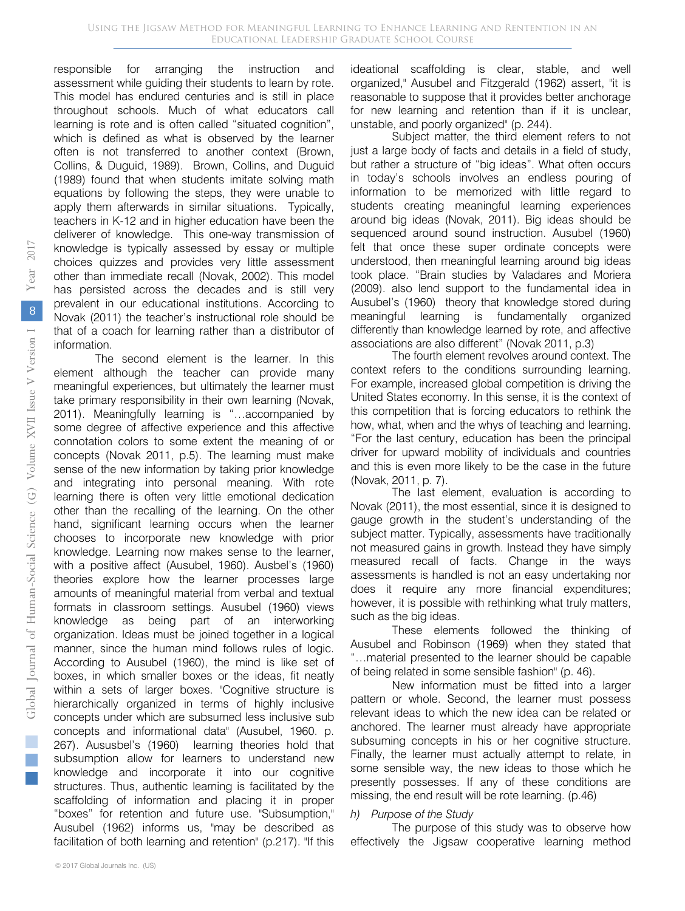responsible for arranging the instruction and assessment while guiding their students to learn by rote. This model has endured centuries and is still in place throughout schools. Much of what educators call learning is rote and is often called "situated cognition", which is defined as what is observed by the learner often is not transferred to another context (Brown, Collins, & Duguid, 1989). Brown, Collins, and Duguid (1989) found that when students imitate solving math equations by following the steps, they were unable to apply them afterwards in similar situations. Typically, teachers in K-12 and in higher education have been the deliverer of knowledge. This one-way transmission of knowledge is typically assessed by essay or multiple choices quizzes and provides very little assessment other than immediate recall (Novak, 2002). This model has persisted across the decades and is still very prevalent in our educational institutions. According to Novak (2011) the teacher's instructional role should be that of a coach for learning rather than a distributor of information.

The second element is the learner. In this element although the teacher can provide many meaningful experiences, but ultimately the learner must take primary responsibility in their own learning (Novak, 2011). Meaningfully learning is "…accompanied by some degree of affective experience and this affective connotation colors to some extent the meaning of or concepts (Novak 2011, p.5). The learning must make sense of the new information by taking prior knowledge and integrating into personal meaning. With rote learning there is often very little emotional dedication other than the recalling of the learning. On the other hand, significant learning occurs when the learner chooses to incorporate new knowledge with prior knowledge. Learning now makes sense to the learner, with a positive affect (Ausubel, 1960). Ausbel's (1960) theories explore how the learner processes large amounts of meaningful material from verbal and textual formats in classroom settings. Ausubel (1960) views knowledge as being part of an interworking organization. Ideas must be joined together in a logical manner, since the human mind follows rules of logic. According to Ausubel (1960), the mind is like set of boxes, in which smaller boxes or the ideas, fit neatly within a sets of larger boxes. "Cognitive structure is hierarchically organized in terms of highly inclusive concepts under which are subsumed less inclusive sub concepts and informational data" (Ausubel, 1960. p. 267). Aususbel's (1960) learning theories hold that subsumption allow for learners to understand new knowledge and incorporate it into our cognitive structures. Thus, authentic learning is facilitated by the scaffolding of information and placing it in proper "boxes" for retention and future use. "Subsumption," Ausubel (1962) informs us, "may be described as facilitation of both learning and retention" (p.217). "If this

ideational scaffolding is clear, stable, and well organized," Ausubel and Fitzgerald (1962) assert, "it is reasonable to suppose that it provides better anchorage for new learning and retention than if it is unclear, unstable, and poorly organized" (p. 244).

Subject matter, the third element refers to not just a large body of facts and details in a field of study, but rather a structure of "big ideas". What often occurs in today's schools involves an endless pouring of information to be memorized with little regard to students creating meaningful learning experiences around big ideas (Novak, 2011). Big ideas should be sequenced around sound instruction. Ausubel (1960) felt that once these super ordinate concepts were understood, then meaningful learning around big ideas took place. "Brain studies by Valadares and Moriera (2009). also lend support to the fundamental idea in Ausubel's (1960) theory that knowledge stored during meaningful learning is fundamentally organized differently than knowledge learned by rote, and affective associations are also different" (Novak 2011, p.3)

The fourth element revolves around context. The context refers to the conditions surrounding learning. For example, increased global competition is driving the United States economy. In this sense, it is the context of this competition that is forcing educators to rethink the how, what, when and the whys of teaching and learning. "For the last century, education has been the principal driver for upward mobility of individuals and countries and this is even more likely to be the case in the future (Novak, 2011, p. 7).

The last element, evaluation is according to Novak (2011), the most essential, since it is designed to gauge growth in the student's understanding of the subject matter. Typically, assessments have traditionally not measured gains in growth. Instead they have simply measured recall of facts. Change in the ways assessments is handled is not an easy undertaking nor does it require any more financial expenditures; however, it is possible with rethinking what truly matters, such as the big ideas.

These elements followed the thinking of Ausubel and Robinson (1969) when they stated that "…material presented to the learner should be capable of being related in some sensible fashion" (p. 46).

New information must be fitted into a larger pattern or whole. Second, the learner must possess relevant ideas to which the new idea can be related or anchored. The learner must already have appropriate subsuming concepts in his or her cognitive structure. Finally, the learner must actually attempt to relate, in some sensible way, the new ideas to those which he presently possesses. If any of these conditions are missing, the end result will be rote learning. (p.46)

# *h) Purpose of the Study*

The purpose of this study was to observe how effectively the Jigsaw cooperative learning method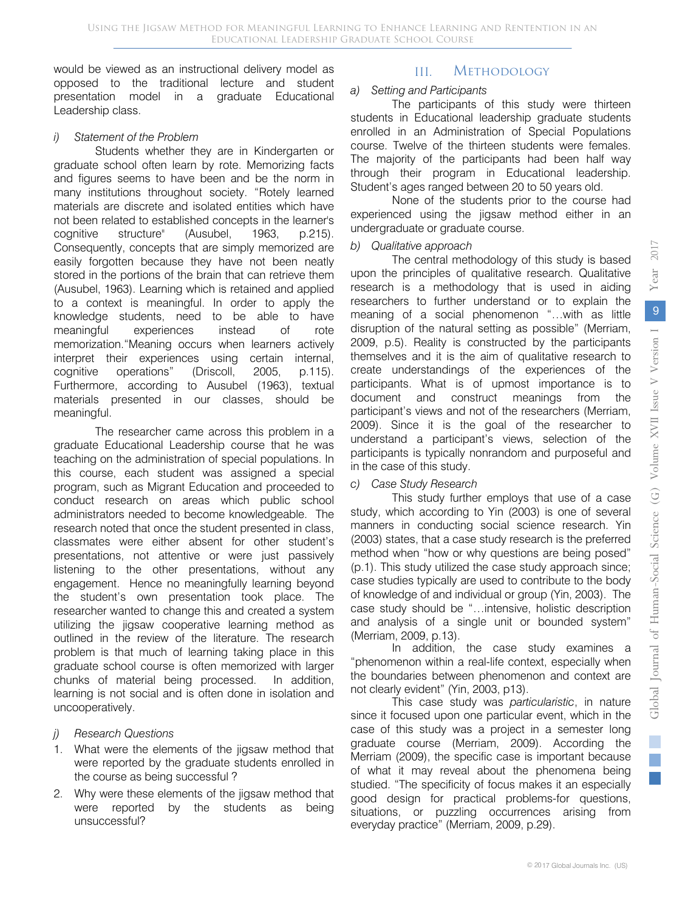would be viewed as an instructional delivery model as opposed to the traditional lecture and student presentation model in a graduate Educational Leadership class.

#### *i) Statement of the Problem*

Students whether they are in Kindergarten or graduate school often learn by rote. Memorizing facts and figures seems to have been and be the norm in many institutions throughout society. "Rotely learned materials are discrete and isolated entities which have not been related to established concepts in the learner's cognitive structure" (Ausubel, 1963, p.215). Consequently, concepts that are simply memorized are easily forgotten because they have not been neatly stored in the portions of the brain that can retrieve them (Ausubel, 1963). Learning which is retained and applied to a context is meaningful. In order to apply the knowledge students, need to be able to have meaningful experiences instead of rote memorization."Meaning occurs when learners actively interpret their experiences using certain internal, cognitive operations" (Driscoll, 2005, p.115). Furthermore, according to Ausubel (1963), textual materials presented in our classes, should be meaningful.

The researcher came across this problem in a graduate Educational Leadership course that he was teaching on the administration of special populations. In this course, each student was assigned a special program, such as Migrant Education and proceeded to conduct research on areas which public school administrators needed to become knowledgeable. The research noted that once the student presented in class, classmates were either absent for other student's presentations, not attentive or were just passively listening to the other presentations, without any engagement. Hence no meaningfully learning beyond the student's own presentation took place. The researcher wanted to change this and created a system utilizing the jigsaw cooperative learning method as outlined in the review of the literature. The research problem is that much of learning taking place in this graduate school course is often memorized with larger chunks of material being processed. In addition, learning is not social and is often done in isolation and uncooperatively.

- *j) Research Questions*
- 1. What were the elements of the jigsaw method that were reported by the graduate students enrolled in the course as being successful ?
- 2. Why were these elements of the jigsaw method that were reported by the students as being unsuccessful?

# III. Methodology

# *a) Setting and Participants*

The participants of this study were thirteen students in Educational leadership graduate students enrolled in an Administration of Special Populations course. Twelve of the thirteen students were females. The majority of the participants had been half way through their program in Educational leadership. Student's ages ranged between 20 to 50 years old.

None of the students prior to the course had experienced using the jigsaw method either in an undergraduate or graduate course.

# *b) Qualitative approach*

The central methodology of this study is based upon the principles of qualitative research. Qualitative research is a methodology that is used in aiding researchers to further understand or to explain the meaning of a social phenomenon "…with as little disruption of the natural setting as possible" (Merriam, 2009, p.5). Reality is constructed by the participants themselves and it is the aim of qualitative research to create understandings of the experiences of the participants. What is of upmost importance is to document and construct meanings from the participant's views and not of the researchers (Merriam, 2009). Since it is the goal of the researcher to understand a participant's views, selection of the participants is typically nonrandom and purposeful and in the case of this study.

# *c) Case Study Research*

This study further employs that use of a case study, which according to Yin (2003) is one of several manners in conducting social science research. Yin (2003) states, that a case study research is the preferred method when "how or why questions are being posed" (p.1). This study utilized the case study approach since; case studies typically are used to contribute to the body of knowledge of and individual or group (Yin, 2003). The case study should be "…intensive, holistic description and analysis of a single unit or bounded system" (Merriam, 2009, p.13).

In addition, the case study examines a "phenomenon within a real-life context, especially when the boundaries between phenomenon and context are not clearly evident" (Yin, 2003, p13).

This case study was *particularistic*, in nature since it focused upon one particular event, which in the case of this study was a project in a semester long graduate course (Merriam, 2009). According the Merriam (2009), the specific case is important because of what it may reveal about the phenomena being studied. "The specificity of focus makes it an especially good design for practical problems-for questions, situations, or puzzling occurrences arising from everyday practice" (Merriam, 2009, p.29).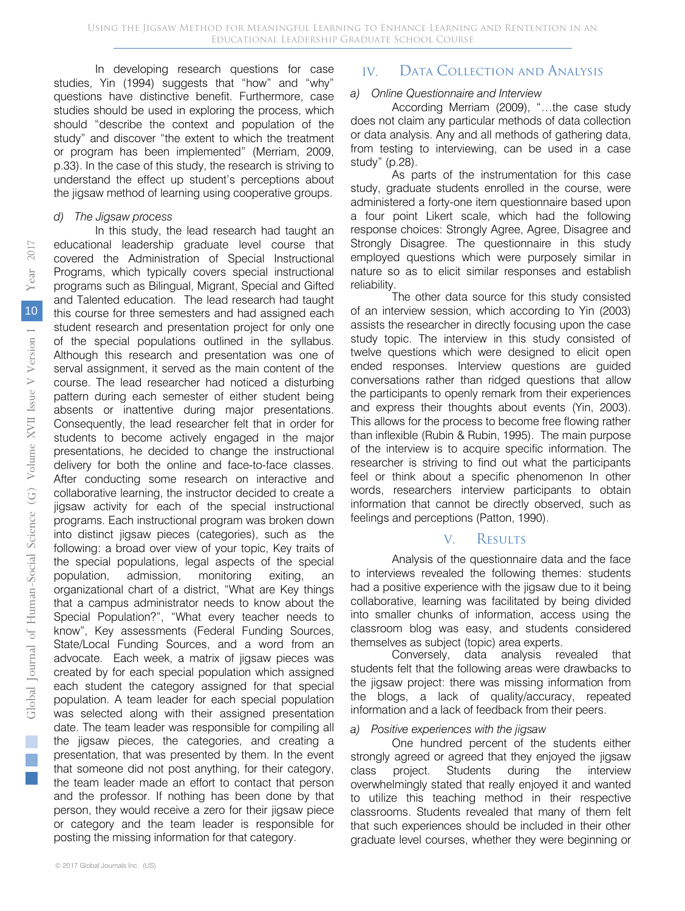In developing research questions for case studies, Yin (1994) suggests that "how" and "why" questions have distinctive benefit. Furthermore, case studies should be used in exploring the process, which should "describe the context and population of the study" and discover "the extent to which the treatment or program has been implemented" (Merriam, 2009, p.33). In the case of this study, the research is striving to understand the effect up student's perceptions about the jigsaw method of learning using cooperative groups.

#### *d) The Jigsaw process*

In this study, the lead research had taught an educational leadership graduate level course that covered the Administration of Special Instructional Programs, which typically covers special instructional programs such as Bilingual, Migrant, Special and Gifted and Talented education. The lead research had taught this course for three semesters and had assigned each student research and presentation project for only one of the special populations outlined in the syllabus. Although this research and presentation was one of serval assignment, it served as the main content of the course. The lead researcher had noticed a disturbing pattern during each semester of either student being absents or inattentive during major presentations. Consequently, the lead researcher felt that in order for students to become actively engaged in the major presentations, he decided to change the instructional delivery for both the online and face-to-face classes. After conducting some research on interactive and collaborative learning, the instructor decided to create a jigsaw activity for each of the special instructional programs. Each instructional program was broken down into distinct jigsaw pieces (categories), such as the following: a broad over view of your topic, Key traits of the special populations, legal aspects of the special population, admission, monitoring exiting, an organizational chart of a district, "What are Key things that a campus administrator needs to know about the Special Population?", "What every teacher needs to know", Key assessments (Federal Funding Sources, State/Local Funding Sources, and a word from an advocate. Each week, a matrix of jigsaw pieces was created by for each special population which assigned each student the category assigned for that special population. A team leader for each special population was selected along with their assigned presentation date. The team leader was responsible for compiling all the jigsaw pieces, the categories, and creating a presentation, that was presented by them. In the event that someone did not post anything, for their category, the team leader made an effort to contact that person and the professor. If nothing has been done by that person, they would receive a zero for their jigsaw piece or category and the team leader is responsible for posting the missing information for that category.

#### *a) Online Questionnaire and Interview*

According Merriam (2009), "…the case study does not claim any particular methods of data collection or data analysis. Any and all methods of gathering data, from testing to interviewing, can be used in a case study" (p.28).

As parts of the instrumentation for this case study, graduate students enrolled in the course, were administered a forty-one item questionnaire based upon a four point Likert scale, which had the following response choices: Strongly Agree, Agree, Disagree and Strongly Disagree. The questionnaire in this study employed questions which were purposely similar in nature so as to elicit similar responses and establish reliability.

The other data source for this study consisted of an interview session, which according to Yin (2003) assists the researcher in directly focusing upon the case study topic. The interview in this study consisted of twelve questions which were designed to elicit open ended responses. Interview questions are guided conversations rather than ridged questions that allow the participants to openly remark from their experiences and express their thoughts about events (Yin, 2003). This allows for the process to become free flowing rather than inflexible (Rubin & Rubin, 1995). The main purpose of the interview is to acquire specific information. The researcher is striving to find out what the participants feel or think about a specific phenomenon In other words, researchers interview participants to obtain information that cannot be directly observed, such as feelings and perceptions (Patton, 1990).

# V. Results

Analysis of the questionnaire data and the face to interviews revealed the following themes: students had a positive experience with the jigsaw due to it being collaborative, learning was facilitated by being divided into smaller chunks of information, access using the classroom blog was easy, and students considered themselves as subject (topic) area experts.

Conversely, data analysis revealed that students felt that the following areas were drawbacks to the jigsaw project: there was missing information from the blogs, a lack of quality/accuracy, repeated information and a lack of feedback from their peers.

#### *a) Positive experiences with the jigsaw*

One hundred percent of the students either strongly agreed or agreed that they enjoyed the jigsaw class project. Students during the interview overwhelmingly stated that really enjoyed it and wanted to utilize this teaching method in their respective classrooms. Students revealed that many of them felt that such experiences should be included in their other graduate level courses, whether they were beginning or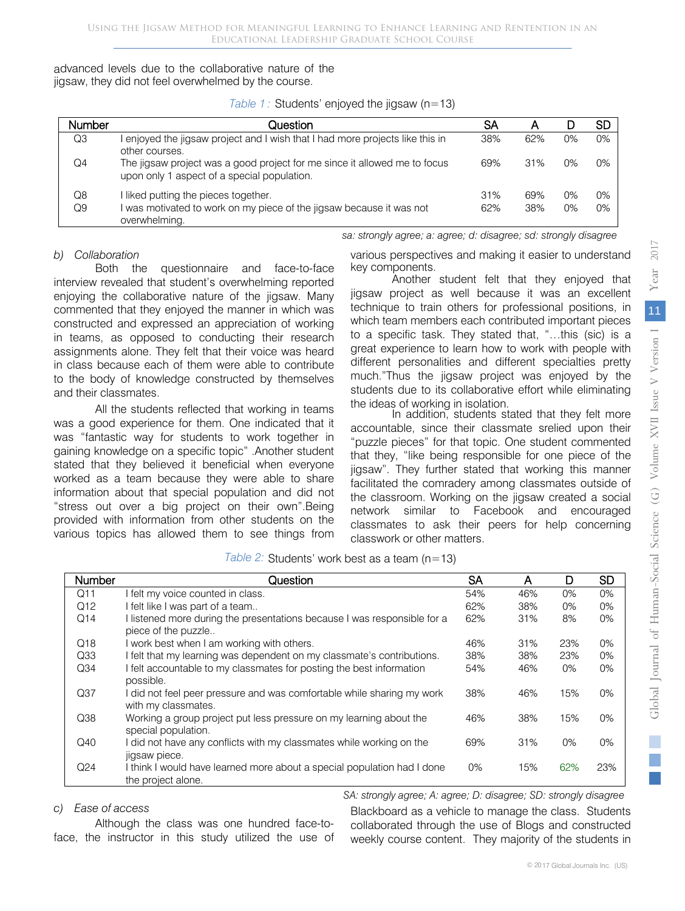jigsaw, they did not feel overwhelmed by the course. advanced levels due to the collaborative nature of the

*Table 1:* Students' enjoyed the jigsaw (n=13)

| Number   | Question                                                                                                                  | SА         | Α          |                | SD             |
|----------|---------------------------------------------------------------------------------------------------------------------------|------------|------------|----------------|----------------|
| Q3       | enjoyed the jigsaw project and I wish that I had more projects like this in<br>other courses.                             | 38%        | 62%        | 0%             | $0\%$          |
| Q4       | The jigsaw project was a good project for me since it allowed me to focus<br>upon only 1 aspect of a special population.  | 69%        | 31%        | 0%             | $0\%$          |
| Q8<br>Q9 | liked putting the pieces together.<br>was motivated to work on my piece of the jigsaw because it was not<br>overwhelming. | 31%<br>62% | 69%<br>38% | $0\%$<br>$0\%$ | $0\%$<br>$0\%$ |

#### *b) Collaboration*

Both the questionnaire and face-to-face interview revealed that student's overwhelming reported enjoying the collaborative nature of the jigsaw. Many commented that they enjoyed the manner in which was constructed and expressed an appreciation of working in teams, as opposed to conducting their research assignments alone. They felt that their voice was heard in class because each of them were able to contribute to the body of knowledge constructed by themselves and their classmates.

All the students reflected that working in teams was a good experience for them. One indicated that it was "fantastic way for students to work together in gaining knowledge on a specific topic" .Another student stated that they believed it beneficial when everyone worked as a team because they were able to share information about that special population and did not "stress out over a big project on their own".Being provided with information from other students on the various topics has allowed them to see things from various perspectives and making it easier to understand key components.

*sa: strongly agree; a: agree; d: disagree; sd: strongly disagree*

Another student felt that they enjoyed that jigsaw project as well because it was an excellent technique to train others for professional positions, in which team members each contributed important pieces to a specific task. They stated that, "…this (sic) is a great experience to learn how to work with people with different personalities and different specialties pretty much."Thus the jigsaw project was enjoyed by the students due to its collaborative effort while eliminating

the ideas of working in isolation. In addition, students stated that they felt more accountable, since their classmate srelied upon their "puzzle pieces" for that topic. One student commented that they, "like being responsible for one piece of the jigsaw". They further stated that working this manner facilitated the comradery among classmates outside of the classroom. Working on the jigsaw created a social network similar to Facebook and encouraged classmates to ask their peers for help concerning classwork or other matters.

|  |  | Table 2: Students' work best as a team $(n=13)$ |  |  |
|--|--|-------------------------------------------------|--|--|
|--|--|-------------------------------------------------|--|--|

| Number          | Question                                                                                        | SA    | А   | D     | <b>SD</b> |
|-----------------|-------------------------------------------------------------------------------------------------|-------|-----|-------|-----------|
| Q11             | I felt my voice counted in class.                                                               | 54%   | 46% | $0\%$ | $0\%$     |
| Q12             | I felt like I was part of a team                                                                | 62%   | 38% | $0\%$ | $0\%$     |
| Q14             | I listened more during the presentations because I was responsible for a<br>piece of the puzzle | 62%   | 31% | 8%    | $0\%$     |
| Q18             | I work best when I am working with others.                                                      | 46%   | 31% | 23%   | $0\%$     |
| Q <sub>33</sub> | I felt that my learning was dependent on my classmate's contributions.                          | 38%   | 38% | 23%   | $0\%$     |
| Q <sub>34</sub> | I felt accountable to my classmates for posting the best information<br>possible.               | 54%   | 46% | $0\%$ | $0\%$     |
| Q37             | I did not feel peer pressure and was comfortable while sharing my work<br>with my classmates.   | 38%   | 46% | 15%   | $0\%$     |
| Q38             | Working a group project put less pressure on my learning about the<br>special population.       | 46%   | 38% | 15%   | $0\%$     |
| Q40             | I did not have any conflicts with my classmates while working on the<br>jigsaw piece.           | 69%   | 31% | $0\%$ | $0\%$     |
| Q24             | I think I would have learned more about a special population had I done<br>the project alone.   | $0\%$ | 15% | 62%   | 23%       |

#### *c) Ease of access*

Although the class was one hundred face-toface, the instructor in this study utilized the use of

*SA: strongly agree; A: agree; D: disagree; SD: strongly disagree* Blackboard as a vehicle to manage the class. Students

collaborated through the use of Blogs and constructed weekly course content. They majority of the students in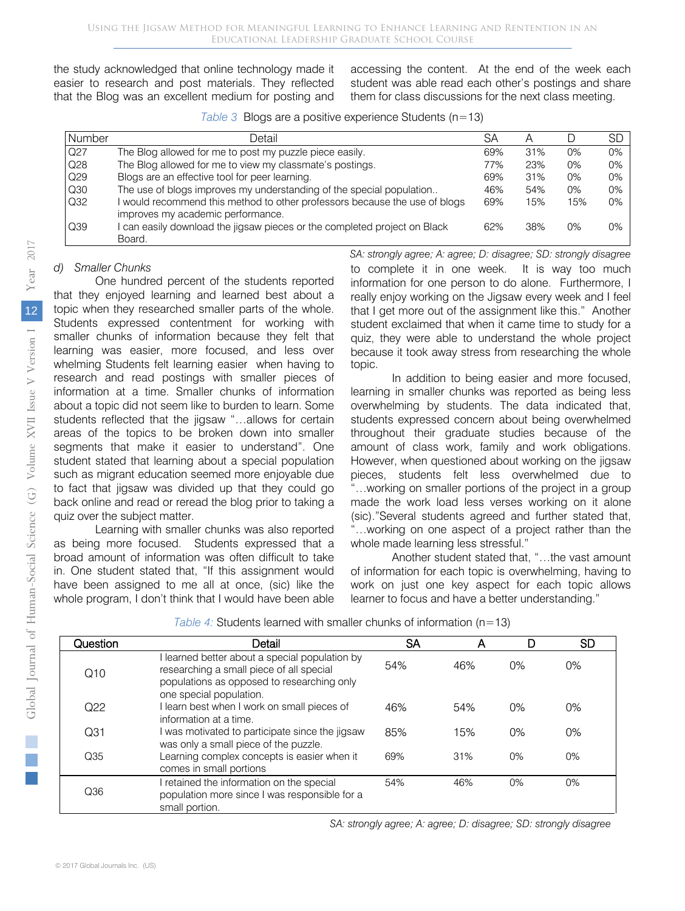the study acknowledged that online technology made it easier to research and post materials. They reflected that the Blog was an excellent medium for posting and

accessing the content. At the end of the week each student was able read each other's postings and share them for class discussions for the next class meeting.

|  | Table 3 Blogs are a positive experience Students $(n=13)$ |  |  |  |  |
|--|-----------------------------------------------------------|--|--|--|--|
|--|-----------------------------------------------------------|--|--|--|--|

| Number | Detail                                                                                                        | SА  |     |       | SЕ    |
|--------|---------------------------------------------------------------------------------------------------------------|-----|-----|-------|-------|
| Q27    | The Blog allowed for me to post my puzzle piece easily.                                                       | 69% | 31% | 0%    | $0\%$ |
| Q28    | The Blog allowed for me to view my classmate's postings.                                                      | 77% | 23% | $0\%$ | $0\%$ |
| Q29    | Blogs are an effective tool for peer learning.                                                                | 69% | 31% | 0%    | $0\%$ |
| Q30    | The use of blogs improves my understanding of the special population                                          | 46% | 54% | 0%    | $0\%$ |
| Q32    | would recommend this method to other professors because the use of blogs<br>improves my academic performance. | 69% | 15% | 15%   | $0\%$ |
| Q39    | can easily download the jigsaw pieces or the completed project on Black<br>Board.                             | 62% | 38% | 0%    | $0\%$ |

#### *d) Smaller Chunks*

One hundred percent of the students reported that they enjoyed learning and learned best about a topic when they researched smaller parts of the whole. Students expressed contentment for working with smaller chunks of information because they felt that learning was easier, more focused, and less over whelming Students felt learning easier when having to research and read postings with smaller pieces of information at a time. Smaller chunks of information about a topic did not seem like to burden to learn. Some students reflected that the jigsaw "…allows for certain areas of the topics to be broken down into smaller segments that make it easier to understand". One student stated that learning about a special population such as migrant education seemed more enjoyable due to fact that jigsaw was divided up that they could go back online and read or reread the blog prior to taking a quiz over the subject matter.

Learning with smaller chunks was also reported as being more focused. Students expressed that a broad amount of information was often difficult to take in. One student stated that, "If this assignment would have been assigned to me all at once, (sic) like the whole program, I don't think that I would have been able *SA: strongly agree; A: agree; D: disagree; SD: strongly disagree* to complete it in one week. It is way too much information for one person to do alone. Furthermore, I really enjoy working on the Jigsaw every week and I feel that I get more out of the assignment like this." Another student exclaimed that when it came time to study for a quiz, they were able to understand the whole project because it took away stress from researching the whole topic.

In addition to being easier and more focused, learning in smaller chunks was reported as being less overwhelming by students. The data indicated that, students expressed concern about being overwhelmed throughout their graduate studies because of the amount of class work, family and work obligations. However, when questioned about working on the jigsaw pieces, students felt less overwhelmed due to "…working on smaller portions of the project in a group made the work load less verses working on it alone (sic)."Several students agreed and further stated that, "…working on one aspect of a project rather than the whole made learning less stressful."

Another student stated that, "…the vast amount of information for each topic is overwhelming, having to work on just one key aspect for each topic allows learner to focus and have a better understanding."

| Question        | Detail                                                                                                                                                            | SA  | А   |       | <b>SD</b> |
|-----------------|-------------------------------------------------------------------------------------------------------------------------------------------------------------------|-----|-----|-------|-----------|
| Q10             | learned better about a special population by<br>researching a small piece of all special<br>populations as opposed to researching only<br>one special population. | 54% | 46% | 0%    | $0\%$     |
| Q22             | I learn best when I work on small pieces of<br>information at a time.                                                                                             | 46% | 54% | 0%    | $0\%$     |
| Q <sub>31</sub> | I was motivated to participate since the jigsaw<br>was only a small piece of the puzzle.                                                                          | 85% | 15% | $0\%$ | $0\%$     |
| Q35             | Learning complex concepts is easier when it<br>comes in small portions                                                                                            | 69% | 31% | 0%    | $0\%$     |
| Q36             | I retained the information on the special<br>population more since I was responsible for a<br>small portion.                                                      | 54% | 46% | $0\%$ | $0\%$     |

*Table 4:* Students learned with smaller chunks of information (n=13)

*SA: strongly agree; A: agree; D: disagree; SD: strongly disagree*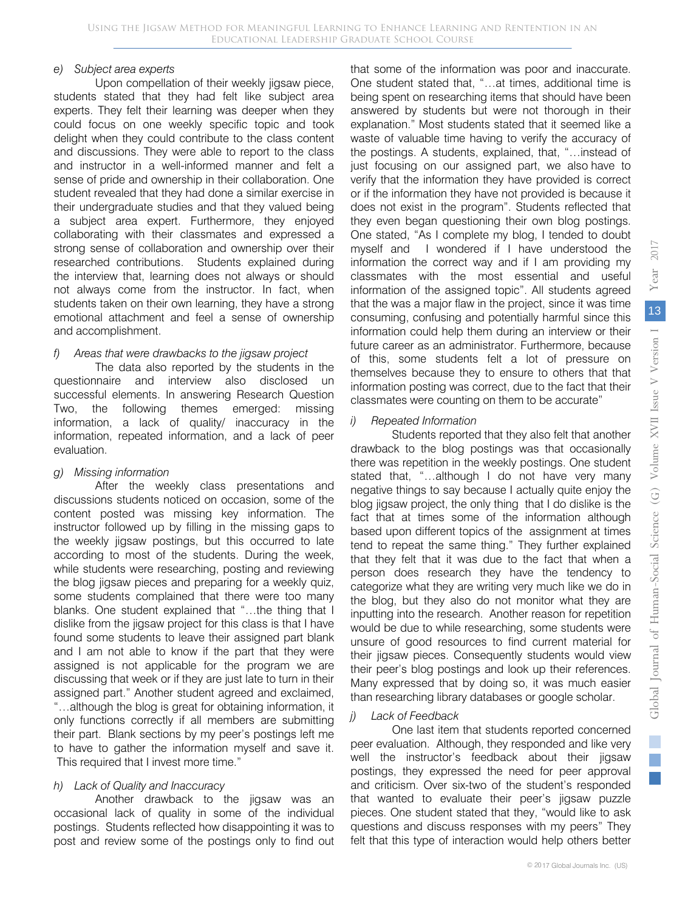#### *e) Subject area experts*

Upon compellation of their weekly jigsaw piece, students stated that they had felt like subject area experts. They felt their learning was deeper when they could focus on one weekly specific topic and took delight when they could contribute to the class content and discussions. They were able to report to the class and instructor in a well-informed manner and felt a sense of pride and ownership in their collaboration. One student revealed that they had done a similar exercise in their undergraduate studies and that they valued being a subject area expert. Furthermore, they enjoyed collaborating with their classmates and expressed a strong sense of collaboration and ownership over their researched contributions. Students explained during the interview that, learning does not always or should not always come from the instructor. In fact, when students taken on their own learning, they have a strong emotional attachment and feel a sense of ownership and accomplishment.

#### *f) Areas that were drawbacks to the jigsaw project*

The data also reported by the students in the questionnaire and interview also disclosed un successful elements. In answering Research Question Two, the following themes emerged: missing information, a lack of quality/ inaccuracy in the information, repeated information, and a lack of peer evaluation.

#### *g) Missing information*

After the weekly class presentations and discussions students noticed on occasion, some of the content posted was missing key information. The instructor followed up by filling in the missing gaps to the weekly jigsaw postings, but this occurred to late according to most of the students. During the week, while students were researching, posting and reviewing the blog jigsaw pieces and preparing for a weekly quiz, some students complained that there were too many blanks. One student explained that "…the thing that I dislike from the jigsaw project for this class is that I have found some students to leave their assigned part blank and I am not able to know if the part that they were assigned is not applicable for the program we are discussing that week or if they are just late to turn in their assigned part." Another student agreed and exclaimed, "…although the blog is great for obtaining information, it only functions correctly if all members are submitting their part. Blank sections by my peer's postings left me to have to gather the information myself and save it. This required that I invest more time."

#### *h) Lack of Quality and Inaccuracy*

Another drawback to the jigsaw was an occasional lack of quality in some of the individual postings. Students reflected how disappointing it was to post and review some of the postings only to find out that some of the information was poor and inaccurate. One student stated that, "…at times, additional time is being spent on researching items that should have been answered by students but were not thorough in their explanation." Most students stated that it seemed like a waste of valuable time having to verify the accuracy of the postings. A students, explained, that, "…instead of just focusing on our assigned part, we also have to verify that the information they have provided is correct or if the information they have not provided is because it does not exist in the program". Students reflected that they even began questioning their own blog postings. One stated, "As I complete my blog, I tended to doubt myself and I wondered if I have understood the information the correct way and if I am providing my classmates with the most essential and useful information of the assigned topic". All students agreed that the was a major flaw in the project, since it was time consuming, confusing and potentially harmful since this information could help them during an interview or their future career as an administrator. Furthermore, because of this, some students felt a lot of pressure on themselves because they to ensure to others that that information posting was correct, due to the fact that their classmates were counting on them to be accurate"

#### *i) Repeated Information*

Students reported that they also felt that another drawback to the blog postings was that occasionally there was repetition in the weekly postings. One student stated that, "…although I do not have very many negative things to say because I actually quite enjoy the blog jigsaw project, the only thing that I do dislike is the fact that at times some of the information although based upon different topics of the assignment at times tend to repeat the same thing." They further explained that they felt that it was due to the fact that when a person does research they have the tendency to categorize what they are writing very much like we do in the blog, but they also do not monitor what they are inputting into the research. Another reason for repetition would be due to while researching, some students were unsure of good resources to find current material for their jigsaw pieces. Consequently students would view their peer's blog postings and look up their references. Many expressed that by doing so, it was much easier than researching library databases or google scholar.

#### *j) Lack of Feedback*

One last item that students reported concerned peer evaluation. Although, they responded and like very well the instructor's feedback about their jigsaw postings, they expressed the need for peer approval and criticism. Over six-two of the student's responded that wanted to evaluate their peer's jigsaw puzzle pieces. One student stated that they, "would like to ask questions and discuss responses with my peers" They felt that this type of interaction would help others better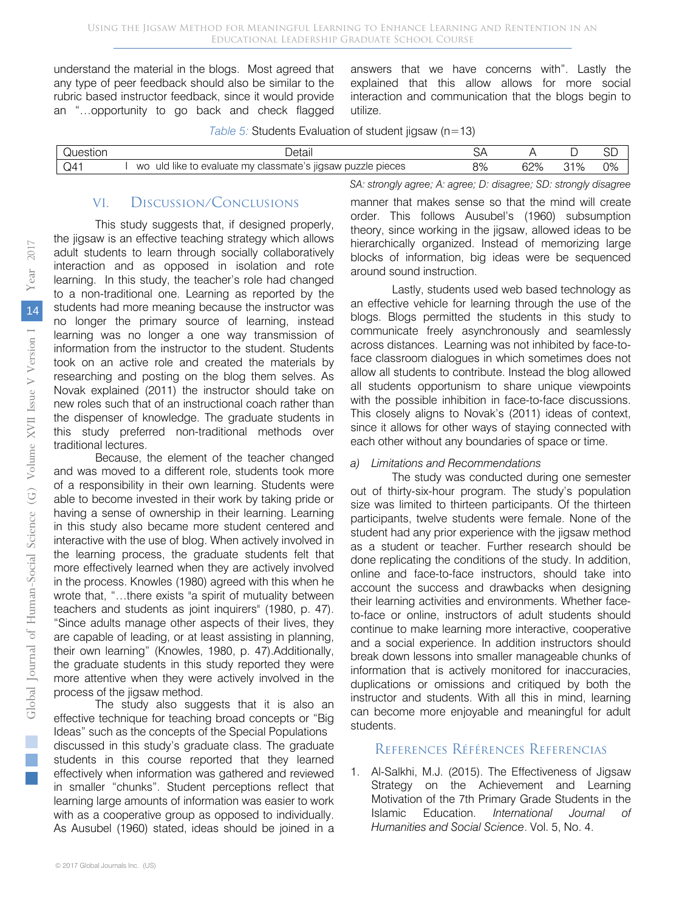understand the material in the blogs. Most agreed that any type of peer feedback should also be similar to the rubric based instructor feedback, since it would provide an "…opportunity to go back and check flagged

answers that we have concerns with". Lastly the explained that this allow allows for more social interaction and communication that the blogs begin to utilize.

| Questior | Jetali                                                                                              | ۶  |                         |            | $\cap$<br>◡ |
|----------|-----------------------------------------------------------------------------------------------------|----|-------------------------|------------|-------------|
| Q4       | $\cdots$<br>classmate's jigsaw puzzle pieces<br><b>WO</b><br>' like<br>uld<br>mv<br>evaluate<br>-tc | 9% | 600<br>$\sqrt{2}$<br>◡▱ | 0.10<br>7۴ | 0%          |

#### *Table 5:* Students Evaluation of student jigsaw (n=13)

# VI. Discussion/Conclusions

This study suggests that, if designed properly, the jigsaw is an effective teaching strategy which allows adult students to learn through socially collaboratively interaction and as opposed in isolation and rote learning. In this study, the teacher's role had changed to a non-traditional one. Learning as reported by the students had more meaning because the instructor was no longer the primary source of learning, instead learning was no longer a one way transmission of information from the instructor to the student. Students took on an active role and created the materials by researching and posting on the blog them selves. As Novak explained (2011) the instructor should take on new roles such that of an instructional coach rather than the dispenser of knowledge. The graduate students in this study preferred non-traditional methods over traditional lectures.

Because, the element of the teacher changed and was moved to a different role, students took more of a responsibility in their own learning. Students were able to become invested in their work by taking pride or having a sense of ownership in their learning. Learning in this study also became more student centered and interactive with the use of blog. When actively involved in the learning process, the graduate students felt that more effectively learned when they are actively involved in the process. Knowles (1980) agreed with this when he wrote that, "…there exists "a spirit of mutuality between teachers and students as joint inquirers" (1980, p. 47). "Since adults manage other aspects of their lives, they are capable of leading, or at least assisting in planning, their own learning" (Knowles, 1980, p. 47).Additionally, the graduate students in this study reported they were more attentive when they were actively involved in the process of the jigsaw method.

The study also suggests that it is also an effective technique for teaching broad concepts or "Big Ideas" such as the concepts of the Special Populations discussed in this study's graduate class. The graduate students in this course reported that they learned effectively when information was gathered and reviewed in smaller "chunks". Student perceptions reflect that learning large amounts of information was easier to work with as a cooperative group as opposed to individually. As Ausubel (1960) stated, ideas should be joined in a

manner that makes sense so that the mind will create order. This follows Ausubel's (1960) subsumption theory, since working in the jigsaw, allowed ideas to be hierarchically organized. Instead of memorizing large blocks of information, big ideas were be sequenced around sound instruction.

*SA: strongly agree; A: agree; D: disagree; SD: strongly disagree*

Lastly, students used web based technology as an effective vehicle for learning through the use of the blogs. Blogs permitted the students in this study to communicate freely asynchronously and seamlessly across distances. Learning was not inhibited by face-toface classroom dialogues in which sometimes does not allow all students to contribute. Instead the blog allowed all students opportunism to share unique viewpoints with the possible inhibition in face-to-face discussions. This closely aligns to Novak's (2011) ideas of context, since it allows for other ways of staying connected with each other without any boundaries of space or time.

# *a) Limitations and Recommendations*

The study was conducted during one semester out of thirty-six-hour program. The study's population size was limited to thirteen participants. Of the thirteen participants, twelve students were female. None of the student had any prior experience with the jigsaw method as a student or teacher. Further research should be done replicating the conditions of the study. In addition, online and face-to-face instructors, should take into account the success and drawbacks when designing their learning activities and environments. Whether faceto-face or online, instructors of adult students should continue to make learning more interactive, cooperative and a social experience. In addition instructors should break down lessons into smaller manageable chunks of information that is actively monitored for inaccuracies, duplications or omissions and critiqued by both the instructor and students. With all this in mind, learning can become more enjoyable and meaningful for adult students.

# References Références Referencias

1. Al-Salkhi, M.J. (2015). The Effectiveness of Jigsaw Strategy on the Achievement and Learning Motivation of the 7th Primary Grade Students in the Islamic Education. *International Journal of Humanities and Social Science*. Vol. 5, No. 4.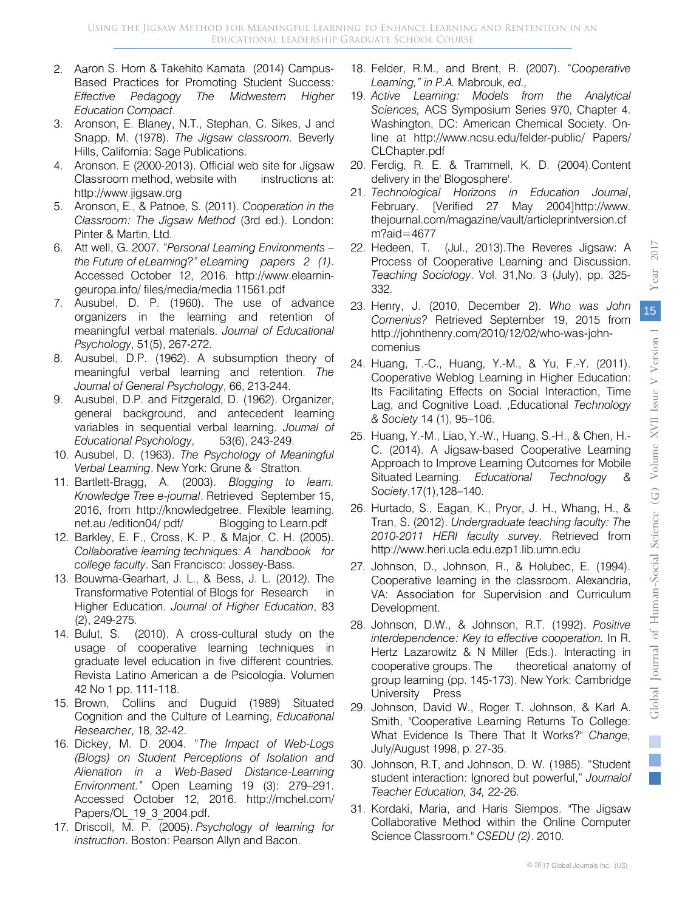- 2. Aaron S. Horn & Takehito Kamata (2014) Campus-Based Practices for Promoting Student Success: *Effective Pedagogy The Midwestern Higher Education Compact*.
- 3. Aronson, E. Blaney, N.T., Stephan, C. Sikes, J and Snapp, M. (1978). *The Jigsaw classroom.* Beverly Hills, California: Sage Publications.
- 4. Aronson. E (2000-2013). Official web site for Jigsaw Classroom method, website with instructions at: http://www.jigsaw.org
- 5. Aronson, E., & Patnoe, S. (2011). *Cooperation in the Classroom: The Jigsaw Method* (3rd ed.). London: Pinter & Martin, Ltd.
- 6. Att well, G. 2007. *"Personal Learning Environments – the Future of eLearning?" eLearning papers 2 (1)*. Accessed October 12, 2016. http://www.elearningeuropa.info/ files/media/media 11561.pdf
- 7. Ausubel, D. P. (1960). The use of advance organizers in the learning and retention of meaningful verbal materials. *Journal of Educational Psychology*, 51(5), 267-272.
- 8. Ausubel, D.P. (1962). A subsumption theory of meaningful verbal learning and retention. *The Journal of General Psychology*, 66, 213-244.
- 9. Ausubel, D.P. and Fitzgerald, D. (1962). Organizer, general background, and antecedent learning variables in sequential verbal learning. *Journal of Educational Psychology*, 53(6), 243-249.
- 10. Ausubel, D. (1963). *The Psychology of Meaningful Verbal Learning*. New York: Grune & Stratton.
- 11. Bartlett-Bragg, A. (2003). *Blogging to learn. Knowledge Tree e-journal*. Retrieved September 15, 2016, from http://knowledgetree. Flexible learning. net.au /edition04/ pdf/ Blogging to Learn.pdf
- 12. Barkley, E. F., Cross, K. P., & Major, C. H. (2005). *Collaborative learning techniques: A handbook for college faculty*. San Francisco: Jossey-Bass.
- 13. Bouwma-Gearhart, J. L., & Bess, J. L. (2012*).* The Transformative Potential of Blogs for Research in Higher Education. *Journal of Higher Education*, 83 (2), 249-275.
- 14. Bulut, S. (2010). A cross-cultural study on the usage of cooperative learning techniques in graduate level education in five different countries*.* Revista Latino American a de Psicología. Volumen 42 No 1 pp. 111-118.
- 15. Brown, Collins and Duguid (1989) Situated Cognition and the Culture of Learning, *Educational Researcher*, 18, 32-42.
- 16. Dickey, M. D. 2004. "*The Impact of Web-Logs (Blogs) on Student Perceptions of Isolation and Alienation in a Web-Based Distance-Learning Environment."* Open Learning 19 (3): 279–291. Accessed October 12, 2016. http://mchel.com/ Papers/OL\_19\_3\_2004.pdf.
- 17. Driscoll, M. P. (2005). *Psychology of learning for instruction*. Boston: Pearson Allyn and Bacon.
- 18. Felder, R.M., and Brent, R. (2007). *"Cooperative Learning," in P.A.* Mabrouk, *ed.,*
- 19. *Active Learning: Models from the Analytical Sciences,* ACS Symposium Series 970, Chapter 4. Washington, DC: American Chemical Society. Online at http://www.ncsu.edu/felder-public/ Papers/ CLChapter.pdf
- 20. Ferdig, R. E. & Trammell, K. D. (2004).Content delivery in the' Blogosphere'.
- 21. *Technological Horizons in Education Journal*, February. [Verified 27 May 2004]http://www. thejournal.com/magazine/vault/articleprintversion.cf m?aid=4677
- 22. Hedeen, T. (Jul., 2013).The Reveres Jigsaw: A Process of Cooperative Learning and Discussion. *Teaching Sociology*. Vol. 31,No. 3 (July), pp. 325- 332.
- 23. Henry, J. (2010, December 2). *Who was John Comenius?* Retrieved September 19, 2015 from http://johnthenry.com/2010/12/02/who-was-johncomenius
- 24. Huang, T.-C., Huang, Y.-M., & Yu, F.-Y. (2011). Cooperative Weblog Learning in Higher Education: Its Facilitating Effects on Social Interaction, Time Lag, and Cognitive Load. ,Educational *Technology & Society* 14 (1), 95–106.
- 25. Huang, Y.-M., Liao, Y.-W., Huang, S.-H., & Chen, H.- C. (2014). A Jigsaw-based Cooperative Learning Approach to Improve Learning Outcomes for Mobile Situated Learning. *Educational Technology & Society*,17(1),128–140.
- 26. Hurtado, S., Eagan, K., Pryor, J. H., Whang, H., & Tran, S. (2012). *Undergraduate teaching faculty: The 2010-2011 HERI faculty survey.* Retrieved from http://www.heri.ucla.edu.ezp1.lib.umn.edu
- 27. Joh[nson, D., Johnson, R., & Holubec, E. \(1](http://www.heri.ucla.edu.ezp1.lib.umn.edu/)994). Cooperative learning in the classroom. Alexandria, VA: Association for Supervision and Curriculum Development.
- 28. Johnson, D.W., & Johnson, R.T. (1992). *Positive interdependence: Key to effective cooperation.* In R. Hertz Lazarowitz & N Miller (Eds.). Interacting in cooperative groups. The theoretical anatomy of group learning (pp. 145-173). New York: Cambridge University Press
- 29. Johnson, David W., Roger T. Johnson, & Karl A. Smith, "Cooperative Learning Returns To College: What Evidence Is There That It Works?" *Change,* July/August 1998, p. 27-35.
- 30. Johnson, R.T, and Johnson, D. W. (1985). "Student student interaction: Ignored but powerful," *Journalof Teacher Education, 34,* 22-26.
- 31. Kordaki, Maria, and Haris Siempos. "The Jigsaw Collaborative Method within the Online Computer Science Classroom." *CSEDU (2)*. 2010.

 $\mathbb{R}^3$